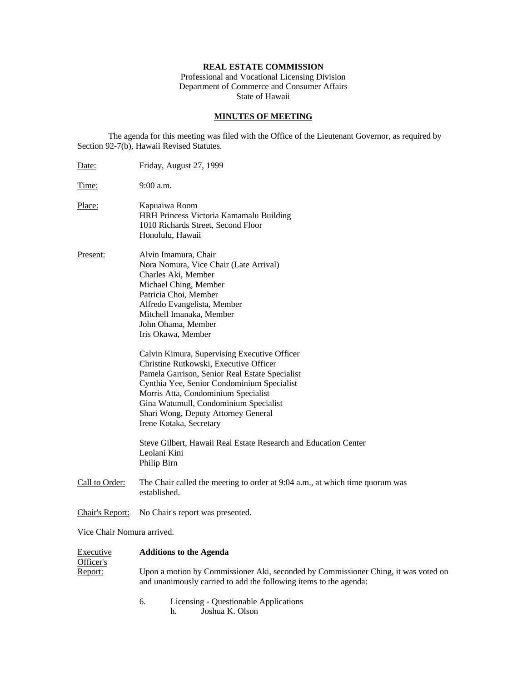# **REAL ESTATE COMMISSION**

Professional and Vocational Licensing Division Department of Commerce and Consumer Affairs State of Hawaii

# **MINUTES OF MEETING**

The agenda for this meeting was filed with the Office of the Lieutenant Governor, as required by Section 92-7(b), Hawaii Revised Statutes.

| Date:                             | Friday, August 27, 1999                                                                                                                                                                                                                                                                                                                                                                                                                                                                                                                                                                                                                                                       |  |  |  |
|-----------------------------------|-------------------------------------------------------------------------------------------------------------------------------------------------------------------------------------------------------------------------------------------------------------------------------------------------------------------------------------------------------------------------------------------------------------------------------------------------------------------------------------------------------------------------------------------------------------------------------------------------------------------------------------------------------------------------------|--|--|--|
| Time:                             | $9:00$ a.m.                                                                                                                                                                                                                                                                                                                                                                                                                                                                                                                                                                                                                                                                   |  |  |  |
| Place:                            | Kapuaiwa Room<br>HRH Princess Victoria Kamamalu Building<br>1010 Richards Street, Second Floor<br>Honolulu, Hawaii                                                                                                                                                                                                                                                                                                                                                                                                                                                                                                                                                            |  |  |  |
| Present:                          | Alvin Imamura, Chair<br>Nora Nomura, Vice Chair (Late Arrival)<br>Charles Aki, Member<br>Michael Ching, Member<br>Patricia Choi, Member<br>Alfredo Evangelista, Member<br>Mitchell Imanaka, Member<br>John Ohama, Member<br>Iris Okawa, Member<br>Calvin Kimura, Supervising Executive Officer<br>Christine Rutkowski, Executive Officer<br>Pamela Garrison, Senior Real Estate Specialist<br>Cynthia Yee, Senior Condominium Specialist<br>Morris Atta, Condominium Specialist<br>Gina Watumull, Condominium Specialist<br>Shari Wong, Deputy Attorney General<br>Irene Kotaka, Secretary<br>Steve Gilbert, Hawaii Real Estate Research and Education Center<br>Leolani Kini |  |  |  |
|                                   | Philip Birn                                                                                                                                                                                                                                                                                                                                                                                                                                                                                                                                                                                                                                                                   |  |  |  |
| Call to Order:                    | The Chair called the meeting to order at 9:04 a.m., at which time quorum was<br>established.                                                                                                                                                                                                                                                                                                                                                                                                                                                                                                                                                                                  |  |  |  |
| Chair's Report:                   | No Chair's report was presented.                                                                                                                                                                                                                                                                                                                                                                                                                                                                                                                                                                                                                                              |  |  |  |
| Vice Chair Nomura arrived.        |                                                                                                                                                                                                                                                                                                                                                                                                                                                                                                                                                                                                                                                                               |  |  |  |
| Executive<br>Officer's<br>Report: | <b>Additions to the Agenda</b>                                                                                                                                                                                                                                                                                                                                                                                                                                                                                                                                                                                                                                                |  |  |  |
|                                   | Upon a motion by Commissioner Aki, seconded by Commissioner Ching, it was voted on<br>and unanimously carried to add the following items to the agenda:                                                                                                                                                                                                                                                                                                                                                                                                                                                                                                                       |  |  |  |
|                                   |                                                                                                                                                                                                                                                                                                                                                                                                                                                                                                                                                                                                                                                                               |  |  |  |

6. Licensing - Questionable Applications h. Joshua K. Olson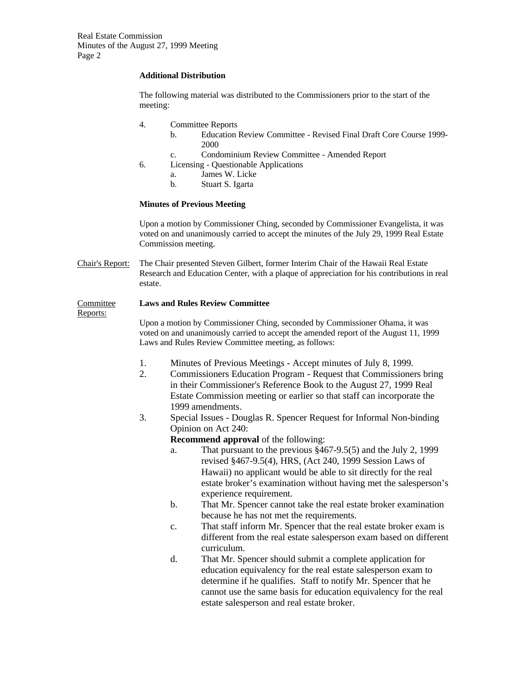# **Additional Distribution**

The following material was distributed to the Commissioners prior to the start of the meeting:

- 4. Committee Reports
	- b. Education Review Committee Revised Final Draft Core Course 1999- 2000
	- c. Condominium Review Committee Amended Report
- 6. Licensing Questionable Applications
	- a. James W. Licke
	- b. Stuart S. Igarta

### **Minutes of Previous Meeting**

Upon a motion by Commissioner Ching, seconded by Commissioner Evangelista, it was voted on and unanimously carried to accept the minutes of the July 29, 1999 Real Estate Commission meeting.

Chair's Report: The Chair presented Steven Gilbert, former Interim Chair of the Hawaii Real Estate Research and Education Center, with a plaque of appreciation for his contributions in real estate.

# Committee **Laws and Rules Review Committee**

Reports:

Upon a motion by Commissioner Ching, seconded by Commissioner Ohama, it was voted on and unanimously carried to accept the amended report of the August 11, 1999 Laws and Rules Review Committee meeting, as follows:

- 1. Minutes of Previous Meetings Accept minutes of July 8, 1999.
- 2. Commissioners Education Program Request that Commissioners bring in their Commissioner's Reference Book to the August 27, 1999 Real Estate Commission meeting or earlier so that staff can incorporate the 1999 amendments.
- 3. Special Issues Douglas R. Spencer Request for Informal Non-binding Opinion on Act 240:
	- **Recommend approval** of the following:
	- a. That pursuant to the previous §467-9.5(5) and the July 2, 1999 revised §467-9.5(4), HRS, (Act 240, 1999 Session Laws of Hawaii) no applicant would be able to sit directly for the real estate broker's examination without having met the salesperson's experience requirement.
	- b. That Mr. Spencer cannot take the real estate broker examination because he has not met the requirements.
	- c. That staff inform Mr. Spencer that the real estate broker exam is different from the real estate salesperson exam based on different curriculum.
	- d. That Mr. Spencer should submit a complete application for education equivalency for the real estate salesperson exam to determine if he qualifies. Staff to notify Mr. Spencer that he cannot use the same basis for education equivalency for the real estate salesperson and real estate broker.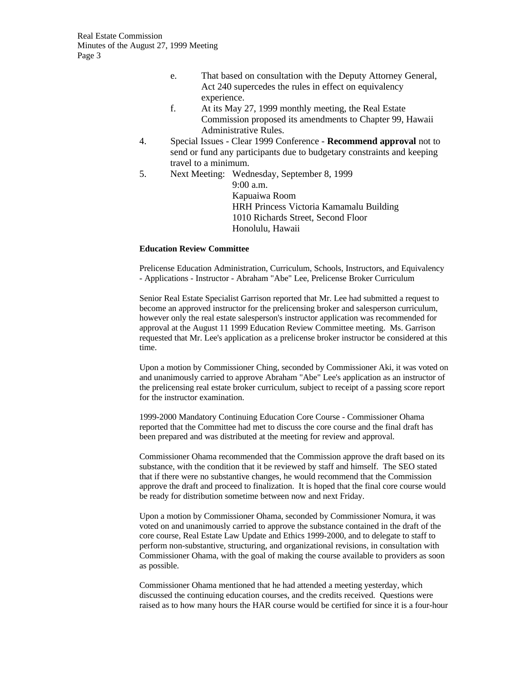- e. That based on consultation with the Deputy Attorney General, Act 240 supercedes the rules in effect on equivalency experience.
- f. At its May 27, 1999 monthly meeting, the Real Estate Commission proposed its amendments to Chapter 99, Hawaii Administrative Rules.
- 4. Special Issues Clear 1999 Conference **Recommend approval** not to send or fund any participants due to budgetary constraints and keeping travel to a minimum.
- 5. Next Meeting: Wednesday, September 8, 1999 9:00 a.m. Kapuaiwa Room

HRH Princess Victoria Kamamalu Building 1010 Richards Street, Second Floor Honolulu, Hawaii

# **Education Review Committee**

Prelicense Education Administration, Curriculum, Schools, Instructors, and Equivalency - Applications - Instructor - Abraham "Abe" Lee, Prelicense Broker Curriculum

Senior Real Estate Specialist Garrison reported that Mr. Lee had submitted a request to become an approved instructor for the prelicensing broker and salesperson curriculum, however only the real estate salesperson's instructor application was recommended for approval at the August 11 1999 Education Review Committee meeting. Ms. Garrison requested that Mr. Lee's application as a prelicense broker instructor be considered at this time.

Upon a motion by Commissioner Ching, seconded by Commissioner Aki, it was voted on and unanimously carried to approve Abraham "Abe" Lee's application as an instructor of the prelicensing real estate broker curriculum, subject to receipt of a passing score report for the instructor examination.

1999-2000 Mandatory Continuing Education Core Course - Commissioner Ohama reported that the Committee had met to discuss the core course and the final draft has been prepared and was distributed at the meeting for review and approval.

Commissioner Ohama recommended that the Commission approve the draft based on its substance, with the condition that it be reviewed by staff and himself. The SEO stated that if there were no substantive changes, he would recommend that the Commission approve the draft and proceed to finalization. It is hoped that the final core course would be ready for distribution sometime between now and next Friday.

Upon a motion by Commissioner Ohama, seconded by Commissioner Nomura, it was voted on and unanimously carried to approve the substance contained in the draft of the core course, Real Estate Law Update and Ethics 1999-2000, and to delegate to staff to perform non-substantive, structuring, and organizational revisions, in consultation with Commissioner Ohama, with the goal of making the course available to providers as soon as possible.

Commissioner Ohama mentioned that he had attended a meeting yesterday, which discussed the continuing education courses, and the credits received. Questions were raised as to how many hours the HAR course would be certified for since it is a four-hour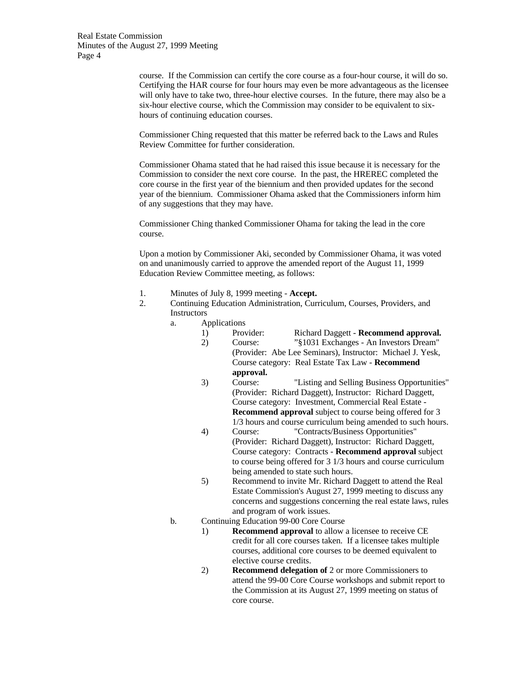> course. If the Commission can certify the core course as a four-hour course, it will do so. Certifying the HAR course for four hours may even be more advantageous as the licensee will only have to take two, three-hour elective courses. In the future, there may also be a six-hour elective course, which the Commission may consider to be equivalent to sixhours of continuing education courses.

Commissioner Ching requested that this matter be referred back to the Laws and Rules Review Committee for further consideration.

Commissioner Ohama stated that he had raised this issue because it is necessary for the Commission to consider the next core course. In the past, the HREREC completed the core course in the first year of the biennium and then provided updates for the second year of the biennium. Commissioner Ohama asked that the Commissioners inform him of any suggestions that they may have.

Commissioner Ching thanked Commissioner Ohama for taking the lead in the core course.

Upon a motion by Commissioner Aki, seconded by Commissioner Ohama, it was voted on and unanimously carried to approve the amended report of the August 11, 1999 Education Review Committee meeting, as follows:

- 1. Minutes of July 8, 1999 meeting **Accept.**
- 2. Continuing Education Administration, Curriculum, Courses, Providers, and Instructors
	- a. Applications<br>1) Provider:
		- 1) Provider: Richard Daggett **Recommend approval.** 2) Course: "§1031 Exchanges - An Investors Dream" (Provider: Abe Lee Seminars), Instructor: Michael J. Yesk, Course category: Real Estate Tax Law - **Recommend approval.**
		- 3) Course: "Listing and Selling Business Opportunities" (Provider: Richard Daggett), Instructor: Richard Daggett, Course category: Investment, Commercial Real Estate - **Recommend approval** subject to course being offered for 3 1/3 hours and course curriculum being amended to such hours.
		- 4) Course: "Contracts/Business Opportunities" (Provider: Richard Daggett), Instructor: Richard Daggett, Course category: Contracts - **Recommend approval** subject to course being offered for 3 1/3 hours and course curriculum being amended to state such hours.
		- 5) Recommend to invite Mr. Richard Daggett to attend the Real Estate Commission's August 27, 1999 meeting to discuss any concerns and suggestions concerning the real estate laws, rules and program of work issues.
	- b. Continuing Education 99-00 Core Course
		- 1) **Recommend approval** to allow a licensee to receive CE credit for all core courses taken. If a licensee takes multiple courses, additional core courses to be deemed equivalent to elective course credits.
		- 2) **Recommend delegation of** 2 or more Commissioners to attend the 99-00 Core Course workshops and submit report to the Commission at its August 27, 1999 meeting on status of core course.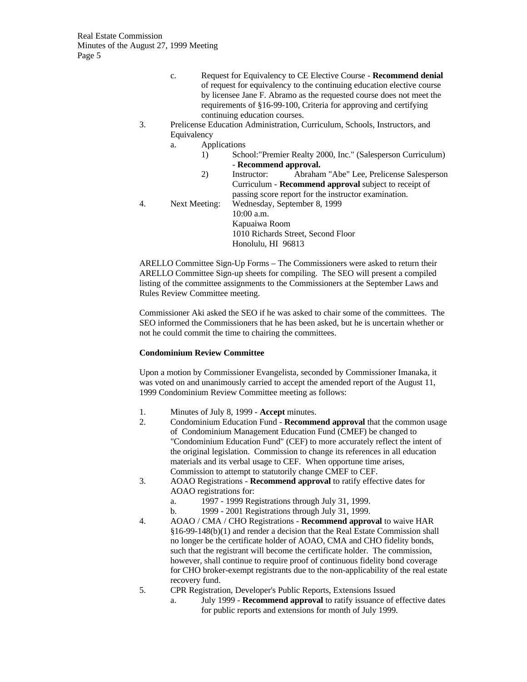- c. Request for Equivalency to CE Elective Course **Recommend denial** of request for equivalency to the continuing education elective course by licensee Jane F. Abramo as the requested course does not meet the requirements of §16-99-100, Criteria for approving and certifying continuing education courses.
- 3. Prelicense Education Administration, Curriculum, Schools, Instructors, and Equivalency
	- a. Applications
		- 1) School:"Premier Realty 2000, Inc." (Salesperson Curriculum) - **Recommend approval.**
		- 2) Instructor: Abraham "Abe" Lee, Prelicense Salesperson Curriculum - **Recommend approval** subject to receipt of passing score report for the instructor examination.

4. Next Meeting: Wednesday, September 8, 1999 10:00 a.m. Kapuaiwa Room 1010 Richards Street, Second Floor Honolulu, HI 96813

ARELLO Committee Sign-Up Forms – The Commissioners were asked to return their ARELLO Committee Sign-up sheets for compiling. The SEO will present a compiled listing of the committee assignments to the Commissioners at the September Laws and Rules Review Committee meeting.

Commissioner Aki asked the SEO if he was asked to chair some of the committees. The SEO informed the Commissioners that he has been asked, but he is uncertain whether or not he could commit the time to chairing the committees.

# **Condominium Review Committee**

Upon a motion by Commissioner Evangelista, seconded by Commissioner Imanaka, it was voted on and unanimously carried to accept the amended report of the August 11, 1999 Condominium Review Committee meeting as follows:

- 1. Minutes of July 8, 1999 **Accept** minutes.
- 2. Condominium Education Fund **Recommend approval** that the common usage of Condominium Management Education Fund (CMEF) be changed to "Condominium Education Fund" (CEF) to more accurately reflect the intent of the original legislation. Commission to change its references in all education materials and its verbal usage to CEF. When opportune time arises, Commission to attempt to statutorily change CMEF to CEF.
- 3. AOAO Registrations **Recommend approval** to ratify effective dates for AOAO registrations for:
	- a. 1997 1999 Registrations through July 31, 1999.
	- b. 1999 2001 Registrations through July 31, 1999.
- 4. AOAO / CMA / CHO Registrations **Recommend approval** to waive HAR §16-99-148(b)(1) and render a decision that the Real Estate Commission shall no longer be the certificate holder of AOAO, CMA and CHO fidelity bonds, such that the registrant will become the certificate holder. The commission, however, shall continue to require proof of continuous fidelity bond coverage for CHO broker-exempt registrants due to the non-applicability of the real estate recovery fund.
- 5. CPR Registration, Developer's Public Reports, Extensions Issued
	- a. July 1999 **Recommend approval** to ratify issuance of effective dates for public reports and extensions for month of July 1999.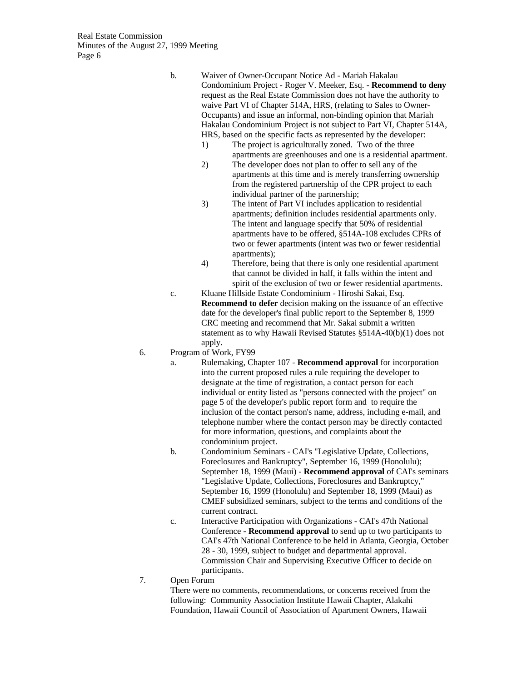b. Waiver of Owner-Occupant Notice Ad - Mariah Hakalau Condominium Project - Roger V. Meeker, Esq. - **Recommend to deny** request as the Real Estate Commission does not have the authority to waive Part VI of Chapter 514A, HRS, (relating to Sales to Owner-Occupants) and issue an informal, non-binding opinion that Mariah Hakalau Condominium Project is not subject to Part VI, Chapter 514A, HRS, based on the specific facts as represented by the developer:

- 1) The project is agriculturally zoned. Two of the three apartments are greenhouses and one is a residential apartment.
- 2) The developer does not plan to offer to sell any of the apartments at this time and is merely transferring ownership from the registered partnership of the CPR project to each individual partner of the partnership;
- 3) The intent of Part VI includes application to residential apartments; definition includes residential apartments only. The intent and language specify that 50% of residential apartments have to be offered, §514A-108 excludes CPRs of two or fewer apartments (intent was two or fewer residential apartments);
- 4) Therefore, being that there is only one residential apartment that cannot be divided in half, it falls within the intent and spirit of the exclusion of two or fewer residential apartments.
- c. Kluane Hillside Estate Condominium Hiroshi Sakai, Esq. **Recommend to defer** decision making on the issuance of an effective date for the developer's final public report to the September 8, 1999 CRC meeting and recommend that Mr. Sakai submit a written statement as to why Hawaii Revised Statutes §514A-40(b)(1) does not apply.
- 6. Program of Work, FY99
	- a. Rulemaking, Chapter 107 **Recommend approval** for incorporation into the current proposed rules a rule requiring the developer to designate at the time of registration, a contact person for each individual or entity listed as "persons connected with the project" on page 5 of the developer's public report form and to require the inclusion of the contact person's name, address, including e-mail, and telephone number where the contact person may be directly contacted for more information, questions, and complaints about the condominium project.
	- b. Condominium Seminars CAI's "Legislative Update, Collections, Foreclosures and Bankruptcy", September 16, 1999 (Honolulu); September 18, 1999 (Maui) - **Recommend approval** of CAI's seminars "Legislative Update, Collections, Foreclosures and Bankruptcy," September 16, 1999 (Honolulu) and September 18, 1999 (Maui) as CMEF subsidized seminars, subject to the terms and conditions of the current contract.
	- c. Interactive Participation with Organizations CAI's 47th National Conference - **Recommend approval** to send up to two participants to CAI's 47th National Conference to be held in Atlanta, Georgia, October 28 - 30, 1999, subject to budget and departmental approval. Commission Chair and Supervising Executive Officer to decide on participants.
- 7. Open Forum

There were no comments, recommendations, or concerns received from the following: Community Association Institute Hawaii Chapter, Alakahi Foundation, Hawaii Council of Association of Apartment Owners, Hawaii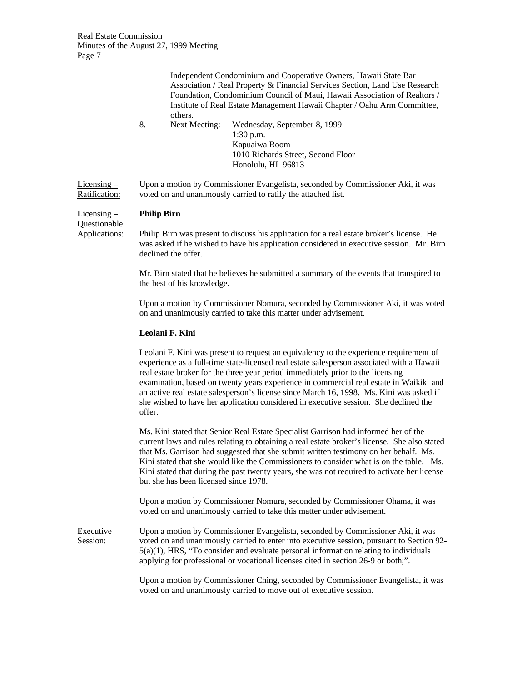|               |                                                               |               | Independent Condominium and Cooperative Owners, Hawaii State Bar                |  |
|---------------|---------------------------------------------------------------|---------------|---------------------------------------------------------------------------------|--|
|               |                                                               |               | Association / Real Property & Financial Services Section, Land Use Research     |  |
|               |                                                               |               | Foundation, Condominium Council of Maui, Hawaii Association of Realtors /       |  |
|               |                                                               | others.       | Institute of Real Estate Management Hawaii Chapter / Oahu Arm Committee,        |  |
|               | 8.                                                            | Next Meeting: | Wednesday, September 8, 1999                                                    |  |
|               |                                                               |               | $1:30$ p.m.                                                                     |  |
|               |                                                               |               | Kapuaiwa Room                                                                   |  |
|               |                                                               |               | 1010 Richards Street, Second Floor                                              |  |
|               |                                                               |               | Honolulu, HI 96813                                                              |  |
| Licensing $-$ |                                                               |               | Upon a motion by Commissioner Evangelista, seconded by Commissioner Aki, it was |  |
| Ratification: | voted on and unanimously carried to ratify the attached list. |               |                                                                                 |  |

Licensing – **Philip Birn** Questionable

Applications: Philip Birn was present to discuss his application for a real estate broker's license. He was asked if he wished to have his application considered in executive session. Mr. Birn declined the offer.

> Mr. Birn stated that he believes he submitted a summary of the events that transpired to the best of his knowledge.

Upon a motion by Commissioner Nomura, seconded by Commissioner Aki, it was voted on and unanimously carried to take this matter under advisement.

#### **Leolani F. Kini**

Leolani F. Kini was present to request an equivalency to the experience requirement of experience as a full-time state-licensed real estate salesperson associated with a Hawaii real estate broker for the three year period immediately prior to the licensing examination, based on twenty years experience in commercial real estate in Waikiki and an active real estate salesperson's license since March 16, 1998. Ms. Kini was asked if she wished to have her application considered in executive session. She declined the offer.

Ms. Kini stated that Senior Real Estate Specialist Garrison had informed her of the current laws and rules relating to obtaining a real estate broker's license. She also stated that Ms. Garrison had suggested that she submit written testimony on her behalf. Ms. Kini stated that she would like the Commissioners to consider what is on the table. Ms. Kini stated that during the past twenty years, she was not required to activate her license but she has been licensed since 1978.

Upon a motion by Commissioner Nomura, seconded by Commissioner Ohama, it was voted on and unanimously carried to take this matter under advisement.

Executive Upon a motion by Commissioner Evangelista, seconded by Commissioner Aki, it was Session: voted on and unanimously carried to enter into executive session, pursuant to Section 92- 5(a)(1), HRS, "To consider and evaluate personal information relating to individuals applying for professional or vocational licenses cited in section 26-9 or both;".

> Upon a motion by Commissioner Ching, seconded by Commissioner Evangelista, it was voted on and unanimously carried to move out of executive session.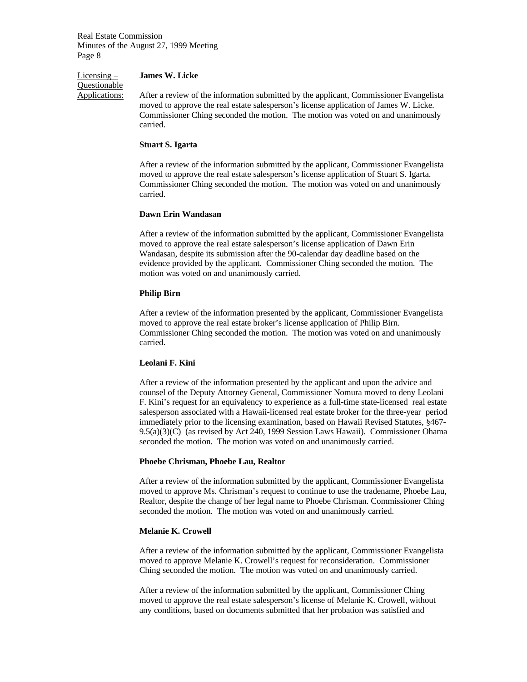#### Licensing – **James W. Licke**

**Questionable** 

Applications: After a review of the information submitted by the applicant, Commissioner Evangelista moved to approve the real estate salesperson's license application of James W. Licke. Commissioner Ching seconded the motion. The motion was voted on and unanimously carried.

#### **Stuart S. Igarta**

After a review of the information submitted by the applicant, Commissioner Evangelista moved to approve the real estate salesperson's license application of Stuart S. Igarta. Commissioner Ching seconded the motion. The motion was voted on and unanimously carried.

### **Dawn Erin Wandasan**

After a review of the information submitted by the applicant, Commissioner Evangelista moved to approve the real estate salesperson's license application of Dawn Erin Wandasan, despite its submission after the 90-calendar day deadline based on the evidence provided by the applicant. Commissioner Ching seconded the motion. The motion was voted on and unanimously carried.

### **Philip Birn**

After a review of the information presented by the applicant, Commissioner Evangelista moved to approve the real estate broker's license application of Philip Birn. Commissioner Ching seconded the motion. The motion was voted on and unanimously carried.

# **Leolani F. Kini**

After a review of the information presented by the applicant and upon the advice and counsel of the Deputy Attorney General, Commissioner Nomura moved to deny Leolani F. Kini's request for an equivalency to experience as a full-time state-licensed real estate salesperson associated with a Hawaii-licensed real estate broker for the three-year period immediately prior to the licensing examination, based on Hawaii Revised Statutes, §467- 9.5(a)(3)(C) (as revised by Act 240, 1999 Session Laws Hawaii). Commissioner Ohama seconded the motion. The motion was voted on and unanimously carried.

#### **Phoebe Chrisman, Phoebe Lau, Realtor**

After a review of the information submitted by the applicant, Commissioner Evangelista moved to approve Ms. Chrisman's request to continue to use the tradename, Phoebe Lau, Realtor, despite the change of her legal name to Phoebe Chrisman. Commissioner Ching seconded the motion. The motion was voted on and unanimously carried.

### **Melanie K. Crowell**

After a review of the information submitted by the applicant, Commissioner Evangelista moved to approve Melanie K. Crowell's request for reconsideration. Commissioner Ching seconded the motion. The motion was voted on and unanimously carried.

After a review of the information submitted by the applicant, Commissioner Ching moved to approve the real estate salesperson's license of Melanie K. Crowell, without any conditions, based on documents submitted that her probation was satisfied and